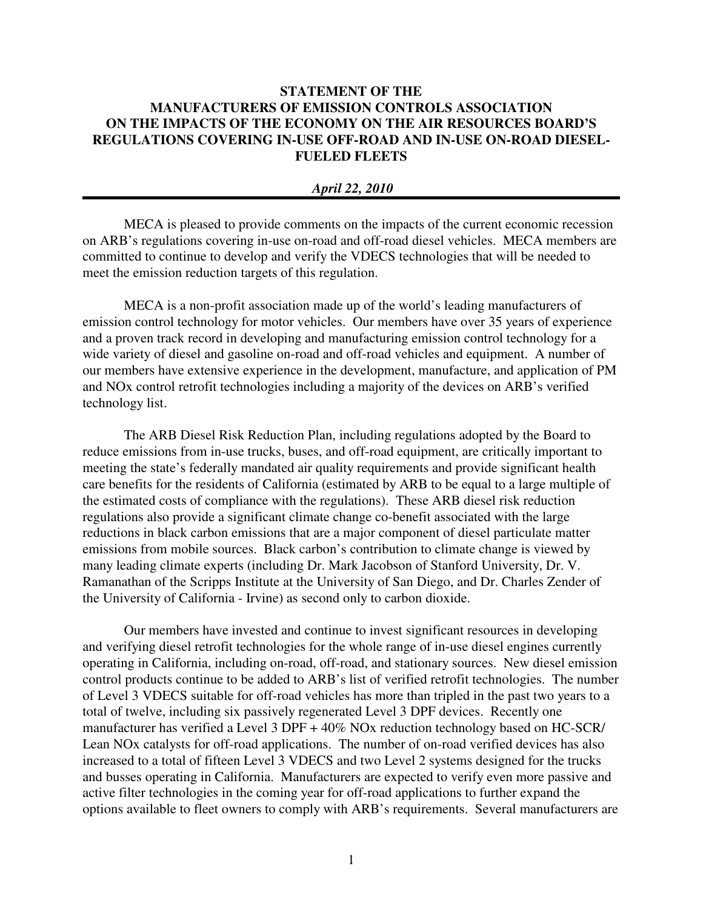## **STATEMENT OF THE MANUFACTURERS OF EMISSION CONTROLS ASSOCIATION ON THE IMPACTS OF THE ECONOMY ON THE AIR RESOURCES BOARD'S REGULATIONS COVERING IN-USE OFF-ROAD AND IN-USE ON-ROAD DIESEL-FUELED FLEETS**

## *April 22, 2010*

MECA is pleased to provide comments on the impacts of the current economic recession on ARB's regulations covering in-use on-road and off-road diesel vehicles. MECA members are committed to continue to develop and verify the VDECS technologies that will be needed to meet the emission reduction targets of this regulation.

MECA is a non-profit association made up of the world's leading manufacturers of emission control technology for motor vehicles. Our members have over 35 years of experience and a proven track record in developing and manufacturing emission control technology for a wide variety of diesel and gasoline on-road and off-road vehicles and equipment. A number of our members have extensive experience in the development, manufacture, and application of PM and NOx control retrofit technologies including a majority of the devices on ARB's verified technology list.

The ARB Diesel Risk Reduction Plan, including regulations adopted by the Board to reduce emissions from in-use trucks, buses, and off-road equipment, are critically important to meeting the state's federally mandated air quality requirements and provide significant health care benefits for the residents of California (estimated by ARB to be equal to a large multiple of the estimated costs of compliance with the regulations). These ARB diesel risk reduction regulations also provide a significant climate change co-benefit associated with the large reductions in black carbon emissions that are a major component of diesel particulate matter emissions from mobile sources. Black carbon's contribution to climate change is viewed by many leading climate experts (including Dr. Mark Jacobson of Stanford University, Dr. V. Ramanathan of the Scripps Institute at the University of San Diego, and Dr. Charles Zender of the University of California - Irvine) as second only to carbon dioxide.

Our members have invested and continue to invest significant resources in developing and verifying diesel retrofit technologies for the whole range of in-use diesel engines currently operating in California, including on-road, off-road, and stationary sources. New diesel emission control products continue to be added to ARB's list of verified retrofit technologies. The number of Level 3 VDECS suitable for off-road vehicles has more than tripled in the past two years to a total of twelve, including six passively regenerated Level 3 DPF devices. Recently one manufacturer has verified a Level 3 DPF + 40% NOx reduction technology based on HC-SCR/ Lean NOx catalysts for off-road applications. The number of on-road verified devices has also increased to a total of fifteen Level 3 VDECS and two Level 2 systems designed for the trucks and busses operating in California. Manufacturers are expected to verify even more passive and active filter technologies in the coming year for off-road applications to further expand the options available to fleet owners to comply with ARB's requirements. Several manufacturers are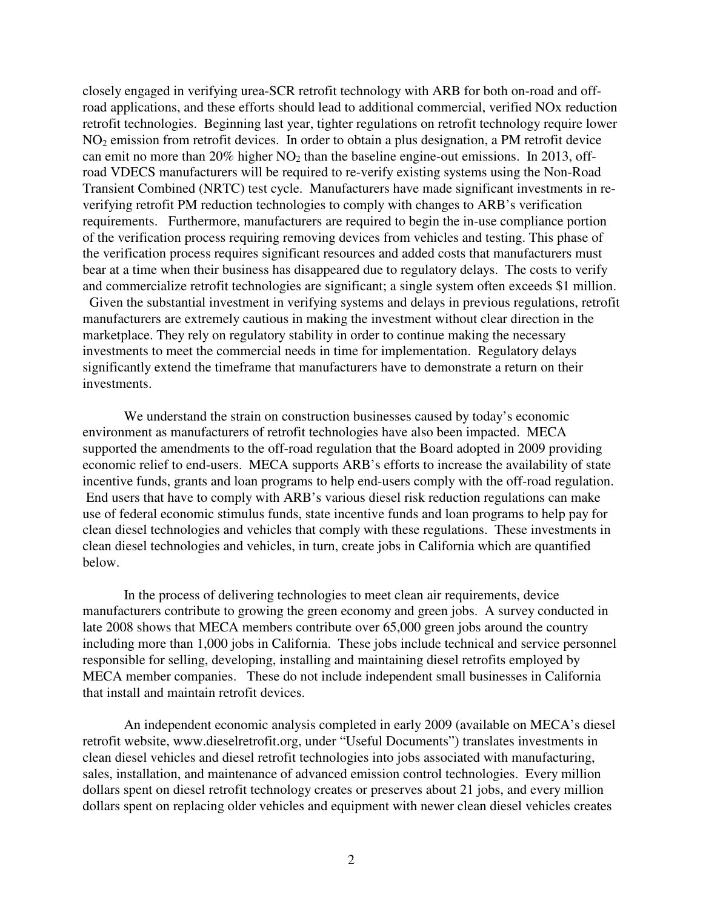closely engaged in verifying urea-SCR retrofit technology with ARB for both on-road and offroad applications, and these efforts should lead to additional commercial, verified NOx reduction retrofit technologies. Beginning last year, tighter regulations on retrofit technology require lower  $NO<sub>2</sub>$  emission from retrofit devices. In order to obtain a plus designation, a PM retrofit device can emit no more than  $20\%$  higher  $NO<sub>2</sub>$  than the baseline engine-out emissions. In 2013, offroad VDECS manufacturers will be required to re-verify existing systems using the Non-Road Transient Combined (NRTC) test cycle. Manufacturers have made significant investments in reverifying retrofit PM reduction technologies to comply with changes to ARB's verification requirements. Furthermore, manufacturers are required to begin the in-use compliance portion of the verification process requiring removing devices from vehicles and testing. This phase of the verification process requires significant resources and added costs that manufacturers must bear at a time when their business has disappeared due to regulatory delays. The costs to verify and commercialize retrofit technologies are significant; a single system often exceeds \$1 million. Given the substantial investment in verifying systems and delays in previous regulations, retrofit manufacturers are extremely cautious in making the investment without clear direction in the

marketplace. They rely on regulatory stability in order to continue making the necessary investments to meet the commercial needs in time for implementation. Regulatory delays significantly extend the timeframe that manufacturers have to demonstrate a return on their investments.

We understand the strain on construction businesses caused by today's economic environment as manufacturers of retrofit technologies have also been impacted. MECA supported the amendments to the off-road regulation that the Board adopted in 2009 providing economic relief to end-users. MECA supports ARB's efforts to increase the availability of state incentive funds, grants and loan programs to help end-users comply with the off-road regulation. End users that have to comply with ARB's various diesel risk reduction regulations can make use of federal economic stimulus funds, state incentive funds and loan programs to help pay for clean diesel technologies and vehicles that comply with these regulations. These investments in clean diesel technologies and vehicles, in turn, create jobs in California which are quantified below.

In the process of delivering technologies to meet clean air requirements, device manufacturers contribute to growing the green economy and green jobs. A survey conducted in late 2008 shows that MECA members contribute over 65,000 green jobs around the country including more than 1,000 jobs in California. These jobs include technical and service personnel responsible for selling, developing, installing and maintaining diesel retrofits employed by MECA member companies. These do not include independent small businesses in California that install and maintain retrofit devices.

An independent economic analysis completed in early 2009 (available on MECA's diesel retrofit website, www.dieselretrofit.org, under "Useful Documents") translates investments in clean diesel vehicles and diesel retrofit technologies into jobs associated with manufacturing, sales, installation, and maintenance of advanced emission control technologies. Every million dollars spent on diesel retrofit technology creates or preserves about 21 jobs, and every million dollars spent on replacing older vehicles and equipment with newer clean diesel vehicles creates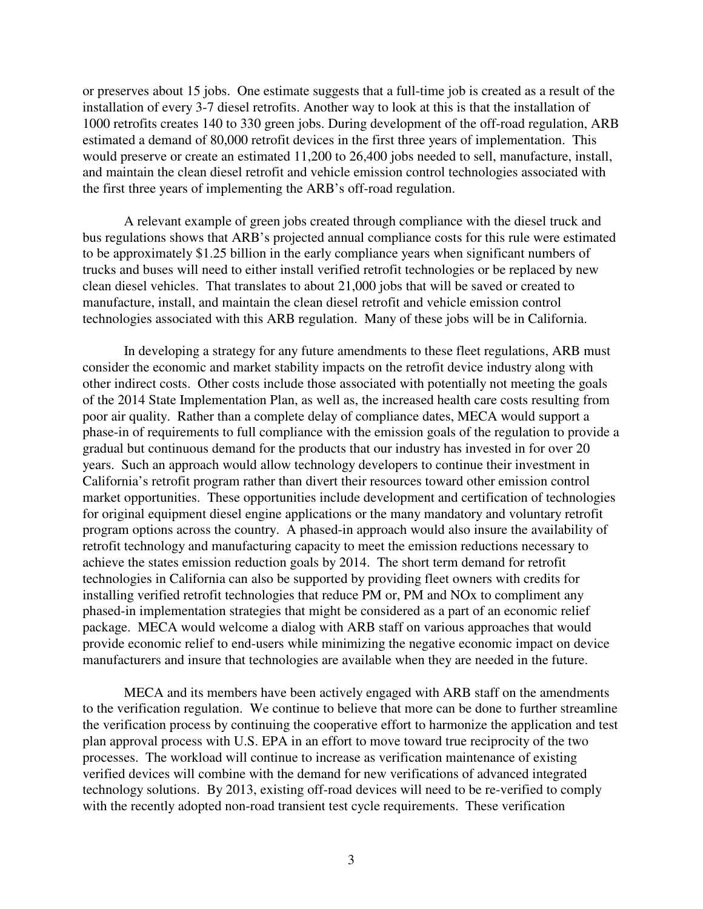or preserves about 15 jobs. One estimate suggests that a full-time job is created as a result of the installation of every 3-7 diesel retrofits. Another way to look at this is that the installation of 1000 retrofits creates 140 to 330 green jobs. During development of the off-road regulation, ARB estimated a demand of 80,000 retrofit devices in the first three years of implementation. This would preserve or create an estimated 11,200 to 26,400 jobs needed to sell, manufacture, install, and maintain the clean diesel retrofit and vehicle emission control technologies associated with the first three years of implementing the ARB's off-road regulation.

A relevant example of green jobs created through compliance with the diesel truck and bus regulations shows that ARB's projected annual compliance costs for this rule were estimated to be approximately \$1.25 billion in the early compliance years when significant numbers of trucks and buses will need to either install verified retrofit technologies or be replaced by new clean diesel vehicles. That translates to about 21,000 jobs that will be saved or created to manufacture, install, and maintain the clean diesel retrofit and vehicle emission control technologies associated with this ARB regulation. Many of these jobs will be in California.

In developing a strategy for any future amendments to these fleet regulations, ARB must consider the economic and market stability impacts on the retrofit device industry along with other indirect costs. Other costs include those associated with potentially not meeting the goals of the 2014 State Implementation Plan, as well as, the increased health care costs resulting from poor air quality. Rather than a complete delay of compliance dates, MECA would support a phase-in of requirements to full compliance with the emission goals of the regulation to provide a gradual but continuous demand for the products that our industry has invested in for over 20 years. Such an approach would allow technology developers to continue their investment in California's retrofit program rather than divert their resources toward other emission control market opportunities. These opportunities include development and certification of technologies for original equipment diesel engine applications or the many mandatory and voluntary retrofit program options across the country. A phased-in approach would also insure the availability of retrofit technology and manufacturing capacity to meet the emission reductions necessary to achieve the states emission reduction goals by 2014. The short term demand for retrofit technologies in California can also be supported by providing fleet owners with credits for installing verified retrofit technologies that reduce PM or, PM and NOx to compliment any phased-in implementation strategies that might be considered as a part of an economic relief package. MECA would welcome a dialog with ARB staff on various approaches that would provide economic relief to end-users while minimizing the negative economic impact on device manufacturers and insure that technologies are available when they are needed in the future.

MECA and its members have been actively engaged with ARB staff on the amendments to the verification regulation. We continue to believe that more can be done to further streamline the verification process by continuing the cooperative effort to harmonize the application and test plan approval process with U.S. EPA in an effort to move toward true reciprocity of the two processes. The workload will continue to increase as verification maintenance of existing verified devices will combine with the demand for new verifications of advanced integrated technology solutions. By 2013, existing off-road devices will need to be re-verified to comply with the recently adopted non-road transient test cycle requirements. These verification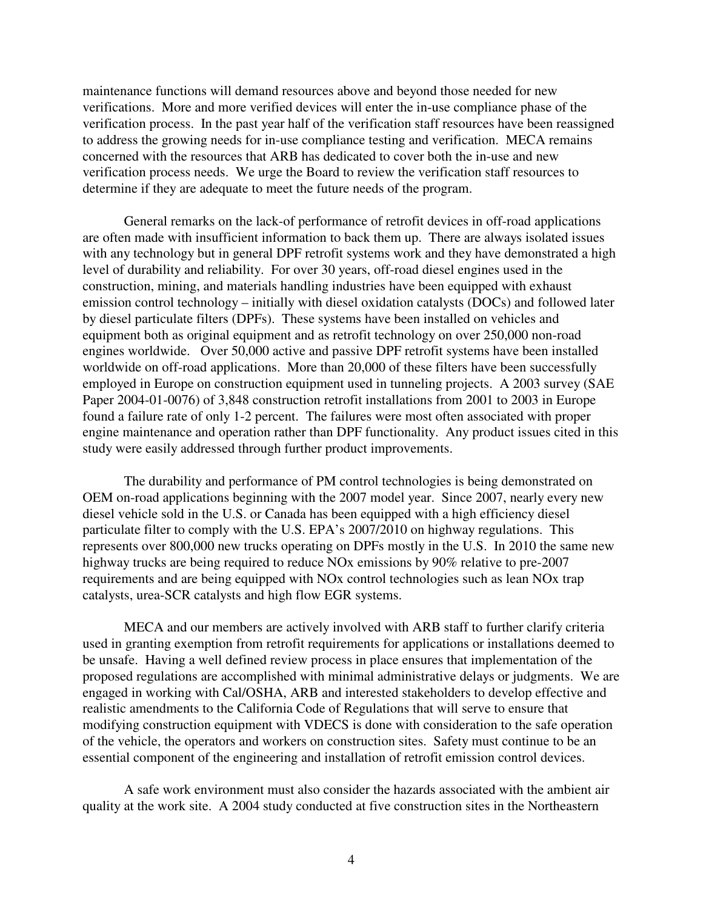maintenance functions will demand resources above and beyond those needed for new verifications. More and more verified devices will enter the in-use compliance phase of the verification process. In the past year half of the verification staff resources have been reassigned to address the growing needs for in-use compliance testing and verification. MECA remains concerned with the resources that ARB has dedicated to cover both the in-use and new verification process needs. We urge the Board to review the verification staff resources to determine if they are adequate to meet the future needs of the program.

General remarks on the lack-of performance of retrofit devices in off-road applications are often made with insufficient information to back them up. There are always isolated issues with any technology but in general DPF retrofit systems work and they have demonstrated a high level of durability and reliability. For over 30 years, off-road diesel engines used in the construction, mining, and materials handling industries have been equipped with exhaust emission control technology – initially with diesel oxidation catalysts (DOCs) and followed later by diesel particulate filters (DPFs). These systems have been installed on vehicles and equipment both as original equipment and as retrofit technology on over 250,000 non-road engines worldwide. Over 50,000 active and passive DPF retrofit systems have been installed worldwide on off-road applications. More than 20,000 of these filters have been successfully employed in Europe on construction equipment used in tunneling projects. A 2003 survey (SAE Paper 2004-01-0076) of 3,848 construction retrofit installations from 2001 to 2003 in Europe found a failure rate of only 1-2 percent. The failures were most often associated with proper engine maintenance and operation rather than DPF functionality. Any product issues cited in this study were easily addressed through further product improvements.

The durability and performance of PM control technologies is being demonstrated on OEM on-road applications beginning with the 2007 model year. Since 2007, nearly every new diesel vehicle sold in the U.S. or Canada has been equipped with a high efficiency diesel particulate filter to comply with the U.S. EPA's 2007/2010 on highway regulations. This represents over 800,000 new trucks operating on DPFs mostly in the U.S. In 2010 the same new highway trucks are being required to reduce NOx emissions by 90% relative to pre-2007 requirements and are being equipped with NOx control technologies such as lean NOx trap catalysts, urea-SCR catalysts and high flow EGR systems.

MECA and our members are actively involved with ARB staff to further clarify criteria used in granting exemption from retrofit requirements for applications or installations deemed to be unsafe. Having a well defined review process in place ensures that implementation of the proposed regulations are accomplished with minimal administrative delays or judgments. We are engaged in working with Cal/OSHA, ARB and interested stakeholders to develop effective and realistic amendments to the California Code of Regulations that will serve to ensure that modifying construction equipment with VDECS is done with consideration to the safe operation of the vehicle, the operators and workers on construction sites. Safety must continue to be an essential component of the engineering and installation of retrofit emission control devices.

A safe work environment must also consider the hazards associated with the ambient air quality at the work site. A 2004 study conducted at five construction sites in the Northeastern